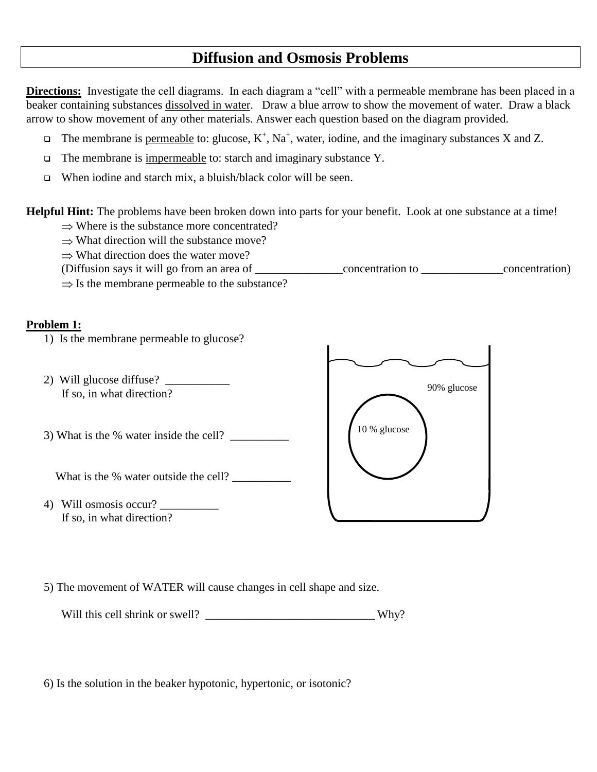# **Diffusion and Osmosis Problems**

**Directions:** Investigate the cell diagrams. In each diagram a "cell" with a permeable membrane has been placed in a beaker containing substances dissolved in water. Draw a blue arrow to show the movement of water. Draw a black arrow to show movement of any other materials. Answer each question based on the diagram provided.

- $\Box$  The membrane is <u>permeable</u> to: glucose, K<sup>+</sup>, Na<sup>+</sup>, water, iodine, and the imaginary substances X and Z.
- $\Box$  The membrane is impermeable to: starch and imaginary substance Y.
- $\Box$  When iodine and starch mix, a bluish/black color will be seen.

**Helpful Hint:** The problems have been broken down into parts for your benefit. Look at one substance at a time!

- $\Rightarrow$  Where is the substance more concentrated?
- $\Rightarrow$  What direction will the substance move?
- $\Rightarrow$  What direction does the water move?
- (Diffusion says it will go from an area of \_\_\_\_\_\_\_\_\_\_\_\_\_\_\_concentration to \_\_\_\_\_\_\_\_\_\_\_\_\_\_concentration)  $\Rightarrow$  Is the membrane permeable to the substance?

### **Problem 1:**

- 1) Is the membrane permeable to glucose?
- 2) Will glucose diffuse? \_\_\_\_\_\_\_\_\_\_\_ If so, in what direction?
- 3) What is the % water inside the cell?

What is the % water outside the cell?

4) Will osmosis occur? \_\_\_\_\_\_\_\_\_\_ If so, in what direction?



5) The movement of WATER will cause changes in cell shape and size.

Will this cell shrink or swell? \_\_\_\_\_\_\_\_\_\_\_\_\_\_\_\_\_\_\_\_\_\_\_\_\_\_\_\_\_ Why?

6) Is the solution in the beaker hypotonic, hypertonic, or isotonic?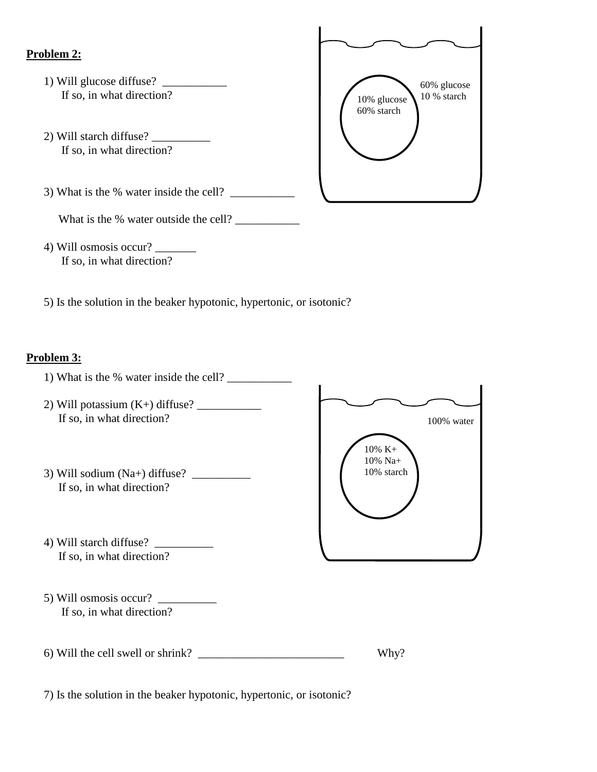### **Problem 2:**

- 1) Will glucose diffuse? \_\_\_\_\_\_\_\_\_\_\_ If so, in what direction?
- 2) Will starch diffuse? If so, in what direction?
- 3) What is the % water inside the cell?  $\frac{1}{\sqrt{2}}$



- 4) Will osmosis occur? \_\_\_\_\_\_\_ If so, in what direction?
- 5) Is the solution in the beaker hypotonic, hypertonic, or isotonic?

### **Problem 3:**



60% glucose<br>10 % starch

10% glucose 60% starch

7) Is the solution in the beaker hypotonic, hypertonic, or isotonic?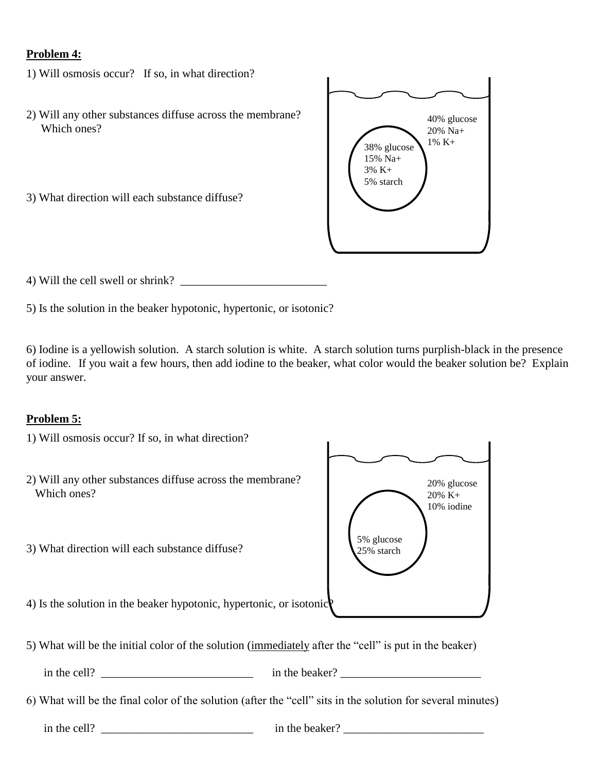### **Problem 4:**

- 1) Will osmosis occur? If so, in what direction?
- 2) Will any other substances diffuse across the membrane? Which ones?
- 3) What direction will each substance diffuse?



4) Will the cell swell or shrink?

5) Is the solution in the beaker hypotonic, hypertonic, or isotonic?

6) Iodine is a yellowish solution. A starch solution is white. A starch solution turns purplish-black in the presence of iodine. If you wait a few hours, then add iodine to the beaker, what color would the beaker solution be? Explain your answer.

## **Problem 5:**

- 1) Will osmosis occur? If so, in what direction?
- 2) Will any other substances diffuse across the membrane? Which ones?
- 3) What direction will each substance diffuse?



- 4) Is the solution in the beaker hypotonic, hypertonic, or isotonic?
- 5) What will be the initial color of the solution (immediately after the "cell" is put in the beaker)

 $\Box$  in the cell?  $\Box$  in the beaker?  $\Box$ 

6) What will be the final color of the solution (after the "cell" sits in the solution for several minutes)